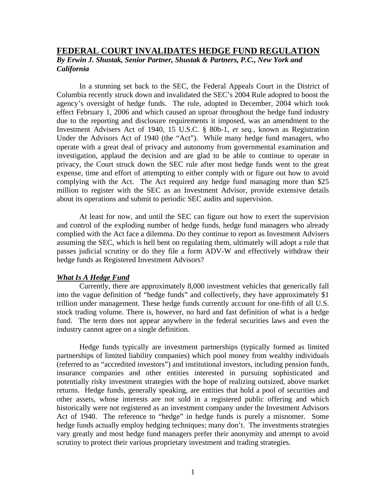## **FEDERAL COURT INVALIDATES HEDGE FUND REGULATION** *By Erwin J. Shustak, Senior Partner, Shustak & Partners, P.C., New York and California*

 In a stunning set back to the SEC, the Federal Appeals Court in the District of Columbia recently struck down and invalidated the SEC's 2004 Rule adopted to boost the agency's oversight of hedge funds. The rule, adopted in December, 2004 which took effect February 1, 2006 and which caused an uproar throughout the hedge fund industry due to the reporting and disclosure requirements it imposed, was an amendment to the Investment Advisers Act of 1940, 15 U.S.C. § 80b-1, *et seq.,* known as Registration Under the Advisors Act of 1940 (the "Act"). While many hedge fund managers, who operate with a great deal of privacy and autonomy from governmental examination and investigation, applaud the decision and are glad to be able to continue to operate in privacy, the Court struck down the SEC rule after most hedge funds went to the great expense, time and effort of attempting to either comply with or figure out how to avoid complying with the Act. The Act required any hedge fund managing more than \$25 million to register with the SEC as an Investment Advisor, provide extensive details about its operations and submit to periodic SEC audits and supervision.

 At least for now, and until the SEC can figure out how to exert the supervision and control of the exploding number of hedge funds, hedge fund managers who already complied with the Act face a dilemma. Do they continue to report as Investment Advisers assuming the SEC, which is hell bent on regulating them, ultimately will adopt a rule that passes judicial scrutiny or do they file a form ADV-W and effectively withdraw their hedge funds as Registered Investment Advisors?

## *What Is A Hedge Fund*

 Currently, there are approximately 8,000 investment vehicles that generically fall into the vague definition of "hedge funds" and collectively, they have approximately \$1 trillion under management. These hedge funds currently account for one-fifth of all U.S. stock trading volume. There is, however, no hard and fast definition of what is a hedge fund. The term does not appear anywhere in the federal securities laws and even the industry cannot agree on a single definition.

 Hedge funds typically are investment partnerships (typically formed as limited partnerships of limited liability companies) which pool money from wealthy individuals (referred to as "accredited investors") and institutional investors, including pension funds, insurance companies and other entities interested in pursuing sophisticated and potentially risky investment strategies with the hope of realizing outsized, above market returns. Hedge funds, generally speaking, are entities that hold a pool of securities and other assets, whose interests are not sold in a registered public offering and which historically were not registered as an investment company under the Investment Advisors Act of 1940. The reference to "hedge" in hedge funds is purely a misnomer. Some hedge funds actually employ hedging techniques; many don't. The investments strategies vary greatly and most hedge fund managers prefer their anonymity and attempt to avoid scrutiny to protect their various proprietary investment and trading strategies.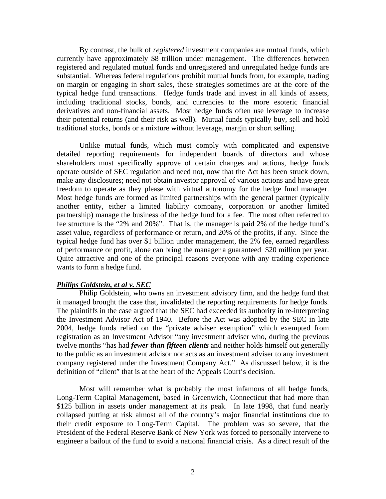By contrast, the bulk of *registered* investment companies are mutual funds, which currently have approximately \$8 trillion under management. The differences between registered and regulated mutual funds and unregistered and unregulated hedge funds are substantial. Whereas federal regulations prohibit mutual funds from, for example, trading on margin or engaging in short sales, these strategies sometimes are at the core of the typical hedge fund transactions. Hedge funds trade and invest in all kinds of assets, including traditional stocks, bonds, and currencies to the more esoteric financial derivatives and non-financial assets. Most hedge funds often use leverage to increase their potential returns (and their risk as well). Mutual funds typically buy, sell and hold traditional stocks, bonds or a mixture without leverage, margin or short selling.

 Unlike mutual funds, which must comply with complicated and expensive detailed reporting requirements for independent boards of directors and whose shareholders must specifically approve of certain changes and actions, hedge funds operate outside of SEC regulation and need not, now that the Act has been struck down, make any disclosures; need not obtain investor approval of various actions and have great freedom to operate as they please with virtual autonomy for the hedge fund manager. Most hedge funds are formed as limited partnerships with the general partner (typically another entity, either a limited liability company, corporation or another limited partnership) manage the business of the hedge fund for a fee. The most often referred to fee structure is the "2% and 20%". That is, the manager is paid 2% of the hedge fund's asset value, regardless of performance or return, and 20% of the profits, if any. Since the typical hedge fund has over \$1 billion under management, the 2% fee, earned regardless of performance or profit, alone can bring the manager a guaranteed \$20 million per year. Quite attractive and one of the principal reasons everyone with any trading experience wants to form a hedge fund.

## *Philips Goldstein, et al v. SEC*

 Philip Goldstein, who owns an investment advisory firm, and the hedge fund that it managed brought the case that, invalidated the reporting requirements for hedge funds. The plaintiffs in the case argued that the SEC had exceeded its authority in re-interpreting the Investment Advisor Act of 1940. Before the Act was adopted by the SEC in late 2004, hedge funds relied on the "private adviser exemption" which exempted from registration as an Investment Advisor "any investment adviser who, during the previous twelve months "has had *fewer than fifteen clients* and neither holds himself out generally to the public as an investment advisor nor acts as an investment adviser to any investment company registered under the Investment Company Act." As discussed below, it is the definition of "client" that is at the heart of the Appeals Court's decision.

 Most will remember what is probably the most infamous of all hedge funds, Long-Term Capital Management, based in Greenwich, Connecticut that had more than \$125 billion in assets under management at its peak. In late 1998, that fund nearly collapsed putting at risk almost all of the country's major financial institutions due to their credit exposure to Long-Term Capital. The problem was so severe, that the President of the Federal Reserve Bank of New York was forced to personally intervene to engineer a bailout of the fund to avoid a national financial crisis. As a direct result of the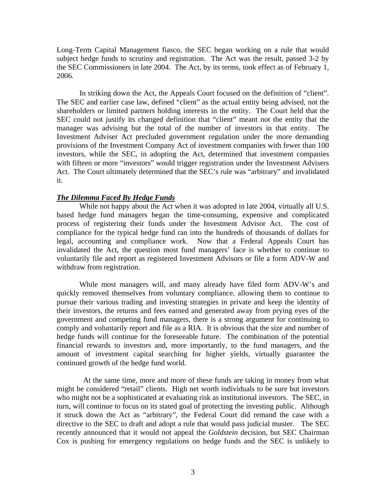Long-Term Capital Management fiasco, the SEC began working on a rule that would subject hedge funds to scrutiny and registration. The Act was the result, passed 3-2 by the SEC Commissioners in late 2004. The Act, by its terms, took effect as of February 1, 2006.

 In striking down the Act, the Appeals Court focused on the definition of "client". The SEC and earlier case law, defined "client" as the actual entity being advised, not the shareholders or limited partners holding interests in the entity. The Court held that the SEC could not justify its changed definition that "client" meant not the entity that the manager was advising but the total of the number of investors in that entity. The Investment Adviser Act precluded government regulation under the more demanding provisions of the Investment Company Act of investment companies with fewer than 100 investors, while the SEC, in adopting the Act, determined that investment companies with fifteen or more "investors" would trigger registration under the Investment Advisers Act. The Court ultimately determined that the SEC's rule was "arbitrary" and invalidated it.

## *The Dilemma Faced By Hedge Funds*

 While not happy about the Act when it was adopted in late 2004, virtually all U.S. based hedge fund managers began the time-consuming, expensive and complicated process of registering their funds under the Investment Advisor Act. The cost of compliance for the typical hedge fund ran into the hundreds of thousands of dollars for legal, accounting and compliance work. Now that a Federal Appeals Court has invalidated the Act, the question most fund managers' face is whether to continue to voluntarily file and report as registered Investment Advisors or file a form ADV-W and withdraw from registration.

 While most managers will, and many already have filed form ADV-W's and quickly removed themselves from voluntary compliance, allowing them to continue to pursue their various trading and investing strategies in private and keep the identity of their investors, the returns and fees earned and generated away from prying eyes of the government and competing fund managers, there is a strong argument for continuing to comply and voluntarily report and file as a RIA. It is obvious that the size and number of hedge funds will continue for the foreseeable future. The combination of the potential financial rewards to investors and, more importantly, to the fund managers, and the amount of investment capital searching for higher yields, virtually guarantee the continued growth of the hedge fund world.

 At the same time, more and more of these funds are taking in money from what might be considered "retail" clients. High net worth individuals to be sure but investors who might not be a sophisticated at evaluating risk as institutional investors. The SEC, in turn, will continue to focus on its stated goal of protecting the investing public. Although it struck down the Act as "arbitrary", the Federal Court did remand the case with a directive to the SEC to draft and adopt a rule that would pass judicial muster. The SEC recently announced that it would not appeal the *Goldstein* decision, but SEC Chairman Cox is pushing for emergency regulations on hedge funds and the SEC is unlikely to